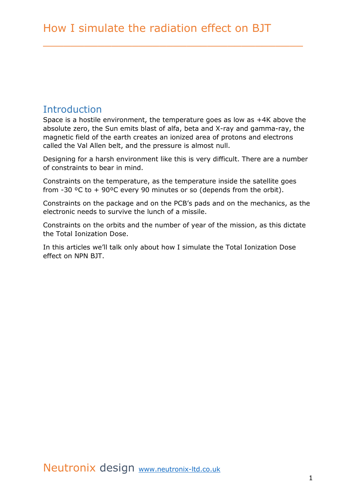\_\_\_\_\_\_\_\_\_\_\_\_\_\_\_\_\_\_\_\_\_\_\_\_\_\_\_\_\_\_\_\_\_\_\_\_\_\_

## **Introduction**

Space is a hostile environment, the temperature goes as low as +4K above the absolute zero, the Sun emits blast of alfa, beta and X-ray and gamma-ray, the magnetic field of the earth creates an ionized area of protons and electrons called the Val Allen belt, and the pressure is almost null.

Designing for a harsh environment like this is very difficult. There are a number of constraints to bear in mind.

Constraints on the temperature, as the temperature inside the satellite goes from -30 °C to + 90°C every 90 minutes or so (depends from the orbit).

Constraints on the package and on the PCB's pads and on the mechanics, as the electronic needs to survive the lunch of a missile.

Constraints on the orbits and the number of year of the mission, as this dictate the Total Ionization Dose.

In this articles we'll talk only about how I simulate the Total Ionization Dose effect on NPN BJT.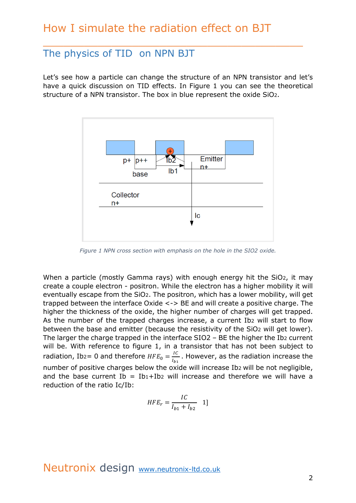#### The physics of TID on NPN BJT

Let's see how a particle can change the structure of an NPN transistor and let's have a quick discussion on TID effects. In Figure 1 you can see the theoretical structure of a NPN transistor. The box in blue represent the oxide SiO2.

\_\_\_\_\_\_\_\_\_\_\_\_\_\_\_\_\_\_\_\_\_\_\_\_\_\_\_\_\_\_\_\_\_\_\_\_\_\_



*Figure 1 NPN cross section with emphasis on the hole in the SIO2 oxide.*

When a particle (mostly Gamma rays) with enough energy hit the SiO2, it may create a couple electron - positron. While the electron has a higher mobility it will eventually escape from the SiO2. The positron, which has a lower mobility, will get trapped between the interface Oxide <-> BE and will create a positive charge. The higher the thickness of the oxide, the higher number of charges will get trapped. As the number of the trapped charges increase, a current Ib2 will start to flow between the base and emitter (because the resistivity of the SiO2 will get lower). The larger the charge trapped in the interface SIO2 – BE the higher the Ib2 current will be. With reference to figure 1, in a transistor that has not been subject to radiation, Ib2= 0 and therefore  $HFE_0 = \frac{IC}{I}$  $\frac{16}{I_{b_1}}$ . However, as the radiation increase the number of positive charges below the oxide will increase Ib2 will be not negligible, and the base current  $Ib = Ib_1+Ib_2$  will increase and therefore we will have a reduction of the ratio Ic/Ib:

$$
HFE_r = \frac{IC}{I_{b1} + I_{b2}} \quad 1]
$$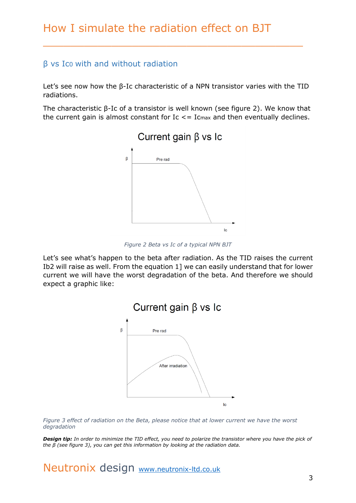#### β vs Ic0 with and without radiation

Let's see now how the β-Ic characteristic of a NPN transistor varies with the TID radiations.

\_\_\_\_\_\_\_\_\_\_\_\_\_\_\_\_\_\_\_\_\_\_\_\_\_\_\_\_\_\_\_\_\_\_\_\_\_\_

The characteristic β-Ic of a transistor is well known (see figure 2). We know that the current gain is almost constant for  $Ic \le I_{Cmax}$  and then eventually declines.



*Figure 2 Beta vs Ic of a typical NPN BJT*

Let's see what's happen to the beta after radiation. As the TID raises the current Ib2 will raise as well. From the equation 1] we can easily understand that for lower current we will have the worst degradation of the beta. And therefore we should expect a graphic like:



*Figure 3 effect of radiation on the Beta, please notice that at lower current we have the worst degradation*

*Design tip: In order to minimize the TID effect, you need to polarize the transistor where you have the pick of the β (see figure 3), you can get this information by looking at the radiation data.*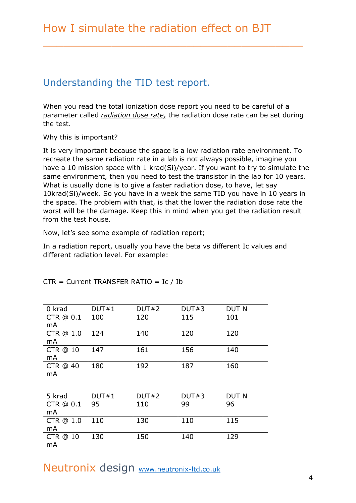# Understanding the TID test report.

When you read the total ionization dose report you need to be careful of a parameter called *radiation dose rate,* the radiation dose rate can be set during the test.

\_\_\_\_\_\_\_\_\_\_\_\_\_\_\_\_\_\_\_\_\_\_\_\_\_\_\_\_\_\_\_\_\_\_\_\_\_\_

Why this is important?

It is very important because the space is a low radiation rate environment. To recreate the same radiation rate in a lab is not always possible, imagine you have a 10 mission space with 1 krad(Si)/year. If you want to try to simulate the same environment, then you need to test the transistor in the lab for 10 years. What is usually done is to give a faster radiation dose, to have, let say 10krad(Si)/week. So you have in a week the same TID you have in 10 years in the space. The problem with that, is that the lower the radiation dose rate the worst will be the damage. Keep this in mind when you get the radiation result from the test house.

Now, let's see some example of radiation report;

In a radiation report, usually you have the beta vs different Ic values and different radiation level. For example:

| 0 krad          | DUT#1 | DUT#2 | DUT#3 | <b>DUT N</b> |
|-----------------|-------|-------|-------|--------------|
| CTR @ 0.1       | 100   | 120   | 115   | 101          |
| mA              |       |       |       |              |
| CTR @ 1.0       | 124   | 140   | 120   | 120          |
| mA              |       |       |       |              |
| <b>CTR @ 10</b> | 147   | 161   | 156   | 140          |
| mA              |       |       |       |              |
| CTR @ 40        | 180   | 192   | 187   | 160          |
| mA              |       |       |       |              |

CTR = Current TRANSFER RATIO = Ic / Ib

| 5 krad          | DUT#1 | DUT#2 | DUT#3 | <b>DUT N</b> |
|-----------------|-------|-------|-------|--------------|
| CTR @ 0.1       | 95    | 110   | 99    | 96           |
| mA              |       |       |       |              |
| CTR @ 1.0       | 110   | 130   | 110   | 115          |
| mA              |       |       |       |              |
| <b>CTR @ 10</b> | 130   | 150   | 140   | 129          |
| mA              |       |       |       |              |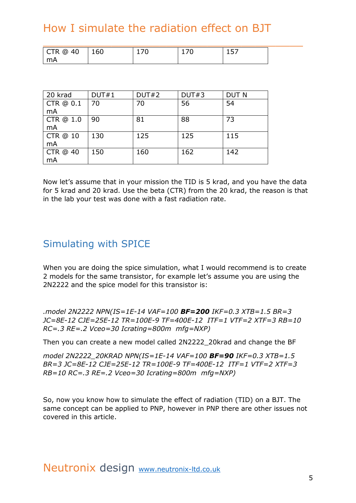# How I simulate the radiation effect on BJT

| 20 krad         | DUT#1 | DUT#2 | DUT#3 | <b>DUT N</b> |
|-----------------|-------|-------|-------|--------------|
| CTR @ 0.1       | 70    | 70    | 56    | 54           |
| mA              |       |       |       |              |
| CTR @ 1.0       | 90    | 81    | 88    | 73           |
| mA              |       |       |       |              |
| <b>CTR @ 10</b> | 130   | 125   | 125   | 115          |
| mA              |       |       |       |              |
| CTR @ 40        | 150   | 160   | 162   | 142          |
| mA              |       |       |       |              |

Now let's assume that in your mission the TID is 5 krad, and you have the data for 5 krad and 20 krad. Use the beta (CTR) from the 20 krad, the reason is that in the lab your test was done with a fast radiation rate.

# Simulating with SPICE

When you are doing the spice simulation, what I would recommend is to create 2 models for the same transistor, for example let's assume you are using the 2N2222 and the spice model for this transistor is:

*.model 2N2222 NPN(IS=1E-14 VAF=100 BF=200 IKF=0.3 XTB=1.5 BR=3 JC=8E-12 CJE=25E-12 TR=100E-9 TF=400E-12 ITF=1 VTF=2 XTF=3 RB=10 RC=.3 RE=.2 Vceo=30 Icrating=800m mfg=NXP)*

Then you can create a new model called 2N2222\_20krad and change the BF

*model 2N2222\_20KRAD NPN(IS=1E-14 VAF=100 BF=90 IKF=0.3 XTB=1.5 BR=3 JC=8E-12 CJE=25E-12 TR=100E-9 TF=400E-12 ITF=1 VTF=2 XTF=3 RB=10 RC=.3 RE=.2 Vceo=30 Icrating=800m mfg=NXP)*

So, now you know how to simulate the effect of radiation (TID) on a BJT. The same concept can be applied to PNP, however in PNP there are other issues not covered in this article.